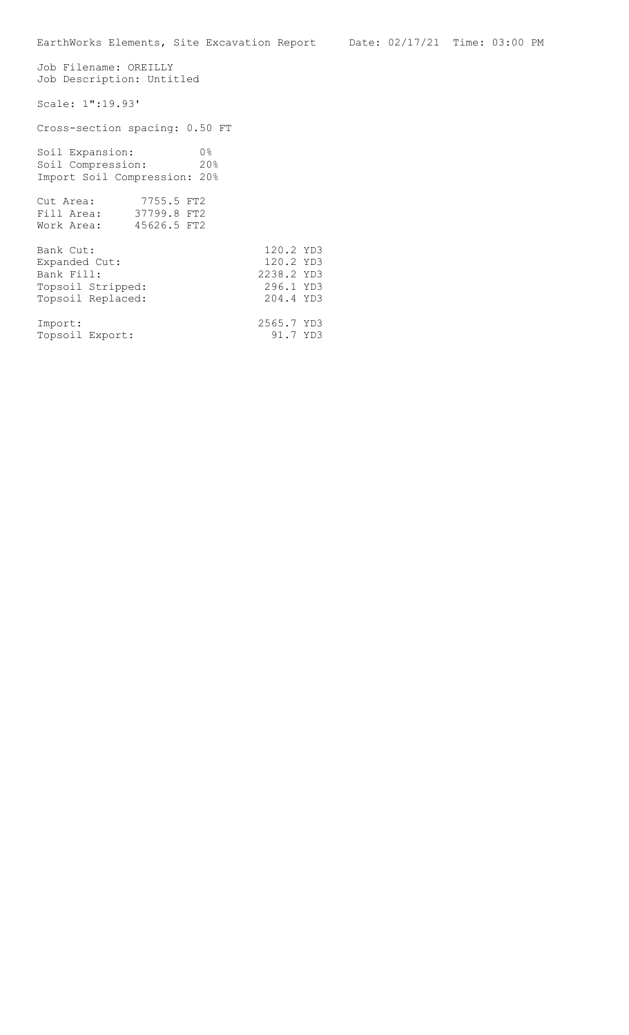Job Filename: OREILLY Job Description: Untitled Scale: 1":19.93' Cross-section spacing: 0.50 FT Soil Expansion: 0% Soil Compression: 20% Import Soil Compression: 20% Cut Area: 7755.5 FT2 Fill Area: 37799.8 FT2 Work Area: 45626.5 FT2 Bank Cut: 120.2 YD3<br>Expanded Cut: 120.2 YD3 Expanded Cut: Pank Fill: 2238.2 YD3<br>Topsoil Stripped: 296.1 YD3 Topsoil Stripped: 296.1 YD3<br>
Topsoil Replaced: 204.4 YD3 Topsoil Replaced: Import: 2565.7 YD3<br>
Topsoil Export: 2565.7 YD3 Topsoil Export: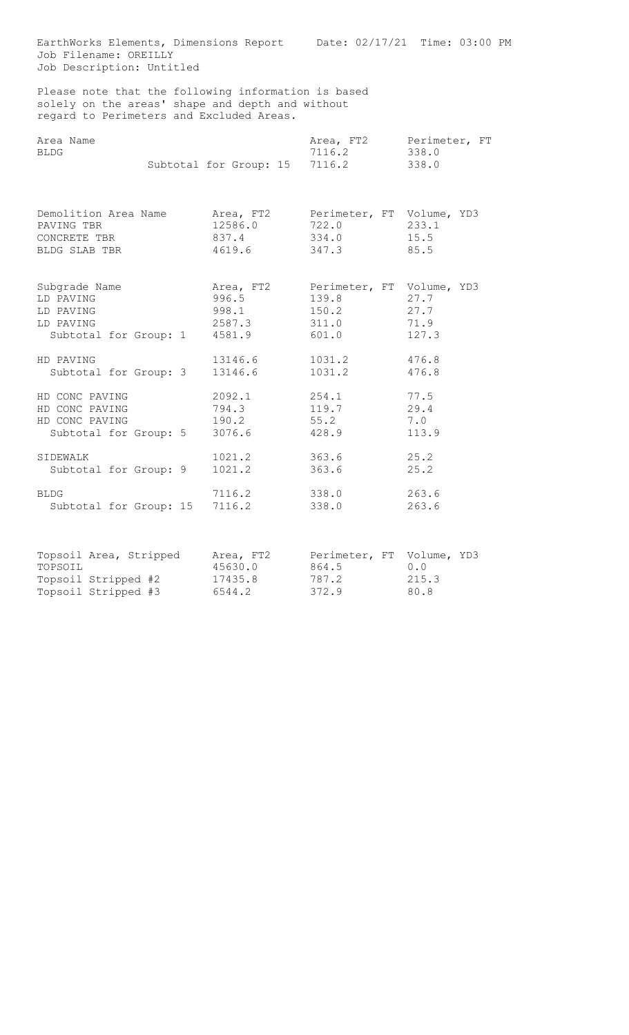| Job Description: Untitled                                                                                                                           |                                                                           |                                  |                                           |
|-----------------------------------------------------------------------------------------------------------------------------------------------------|---------------------------------------------------------------------------|----------------------------------|-------------------------------------------|
| Please note that the following information is based<br>solely on the areas' shape and depth and without<br>regard to Perimeters and Excluded Areas. |                                                                           |                                  |                                           |
| Area Name<br><b>BLDG</b>                                                                                                                            | Subtotal for Group: 15 7116.2                                             | 7116.2                           | Area, FT2 Perimeter, FT<br>338.0<br>338.0 |
| Demolition Area Name<br>PAVING TBR<br>CONCRETE TBR<br>BLDG SLAB TBR                                                                                 | Area, FT2 Perimeter, FT Volume, YD3<br>12586.0<br>837.4<br>4619.6         | 722.0<br>334.0<br>347.3          | 233.1<br>15.5<br>85.5                     |
| Subgrade Name<br>LD PAVING<br>LD PAVING<br>LD PAVING<br>Subtotal for Group: 1                                                                       | Area, FT2 Perimeter, FT Volume, YD3<br>996.5<br>998.1<br>2587.3<br>4581.9 | 139.8<br>150.2<br>311.0<br>601.0 | 27.7<br>27.7<br>71.9<br>127.3             |
| HD PAVING                                                                                                                                           | 13146.6                                                                   | 1031.2                           | 476.8                                     |
| Subtotal for Group: 3                                                                                                                               | 13146.6                                                                   | 1031.2                           | 476.8                                     |
| HD CONC PAVING                                                                                                                                      | 2092.1                                                                    | 254.1                            | 77.5                                      |
| HD CONC PAVING                                                                                                                                      | 794.3                                                                     | 119.7                            | 29.4                                      |
| HD CONC PAVING                                                                                                                                      | 190.2                                                                     | 55.2                             | 7.0                                       |
| Subtotal for Group: 5                                                                                                                               | 3076.6                                                                    | 428.9                            | 113.9                                     |
| SIDEWALK                                                                                                                                            | 1021.2                                                                    | 363.6                            | 25.2                                      |
| Subtotal for Group: 9                                                                                                                               | 1021.2                                                                    | 363.6                            | 25.2                                      |
| <b>BLDG</b>                                                                                                                                         | 7116.2                                                                    | 338.0                            | 263.6                                     |
| Subtotal for Group: 15                                                                                                                              | 7116.2                                                                    | 338.0                            | 263.6                                     |
| Topsoil Area, Stripped                                                                                                                              | Area, FT2                                                                 | Perimeter, FT                    | Volume, YD3                               |
| TOPSOIL                                                                                                                                             | 45630.0                                                                   | 864.5                            | 0.0                                       |
| Topsoil Stripped #2                                                                                                                                 | 17435.8                                                                   | 787.2                            | 215.3                                     |
| Topsoil Stripped #3                                                                                                                                 | 6544.2                                                                    | 372.9                            | 80.8                                      |

EarthWorks Elements, Dimensions Report Date: 02/17/21 Time: 03:00 PM

Job Filename: OREILLY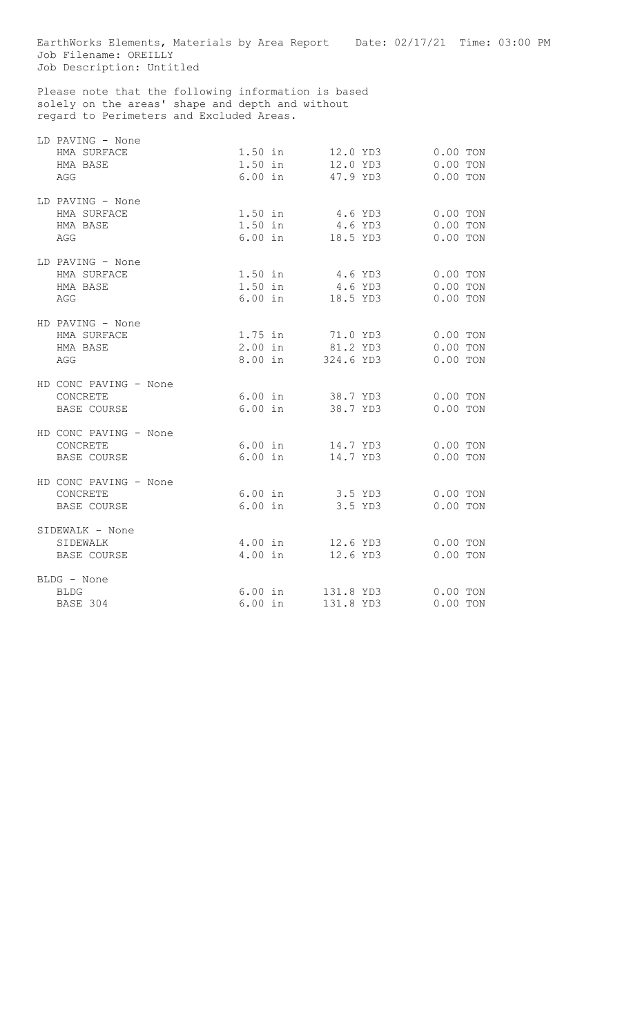EarthWorks Elements, Materials by Area Report Date: 02/17/21 Time: 03:00 PM Job Filename: OREILLY Job Description: Untitled

Please note that the following information is based solely on the areas' shape and depth and without regard to Perimeters and Excluded Areas.

| LD PAVING - None      |         |                                                           |                            |            |
|-----------------------|---------|-----------------------------------------------------------|----------------------------|------------|
| HMA SURFACE           |         |                                                           | 1.50 in 12.0 YD3 0.00 TON  |            |
| HMA BASE              |         |                                                           | 1.50 in 12.0 YD3 0.00 TON  |            |
| AGG                   |         |                                                           | 6.00 in 47.9 YD3 0.00 TON  |            |
|                       |         |                                                           |                            |            |
| LD PAVING - None      |         |                                                           |                            |            |
| HMA SURFACE           |         |                                                           | 1.50 in 4.6 YD3 0.00 TON   |            |
| HMA BASE              |         | 1.50 in 4.6 YD3                                           |                            | $0.00$ TON |
| AGG                   |         | 6.00 in 18.5 YD3                                          |                            | $0.00$ TON |
| LD PAVING - None      |         |                                                           |                            |            |
| HMA SURFACE           |         |                                                           | 1.50 in 4.6 YD3 0.00 TON   |            |
| HMA BASE              |         |                                                           | 1.50 in 4.6 YD3 0.00 TON   |            |
| AGG                   |         |                                                           | 6.00 in 18.5 YD3 0.00 TON  |            |
|                       |         |                                                           |                            |            |
| HD PAVING - None      |         |                                                           |                            |            |
| HMA SURFACE           |         |                                                           |                            | $0.00$ TON |
| HMA BASE              |         |                                                           |                            | $0.00$ TON |
| AGG                   |         | 1.75 in 71.0 YD3<br>2.00 in 81.2 YD3<br>8.00 in 324.6 YD3 |                            | $0.00$ TON |
| HD CONC PAVING - None |         |                                                           |                            |            |
| CONCRETE              |         |                                                           | 6.00 in 38.7 YD3 0.00 TON  |            |
| <b>BASE COURSE</b>    |         |                                                           | 6.00 in 38.7 YD3 0.00 TON  |            |
|                       |         |                                                           |                            |            |
| HD CONC PAVING - None |         |                                                           |                            |            |
| CONCRETE              |         |                                                           | 6.00 in 14.7 YD3 0.00 TON  |            |
| BASE COURSE           |         | 6.00 in 14.7 YD3                                          |                            | $0.00$ TON |
|                       |         |                                                           |                            |            |
| HD CONC PAVING - None |         |                                                           |                            |            |
| CONCRETE              |         | 6.00 in 3.5 YD3                                           | 6.00 in 3.5 YD3 0.00 TON   |            |
| BASE COURSE           |         |                                                           |                            | $0.00$ TON |
| SIDEWALK - None       |         |                                                           |                            |            |
| SIDEWALK              |         |                                                           | 4.00 in 12.6 YD3 0.00 TON  |            |
| BASE COURSE           |         |                                                           | 4.00 in 12.6 YD3 0.00 TON  |            |
|                       |         |                                                           |                            |            |
| BLDG - None           |         |                                                           |                            |            |
| <b>BLDG</b>           |         |                                                           | 6.00 in 131.8 YD3 0.00 TON |            |
| BASE 304              | 6.00 in | 131.8 YD3                                                 |                            | $0.00$ TON |